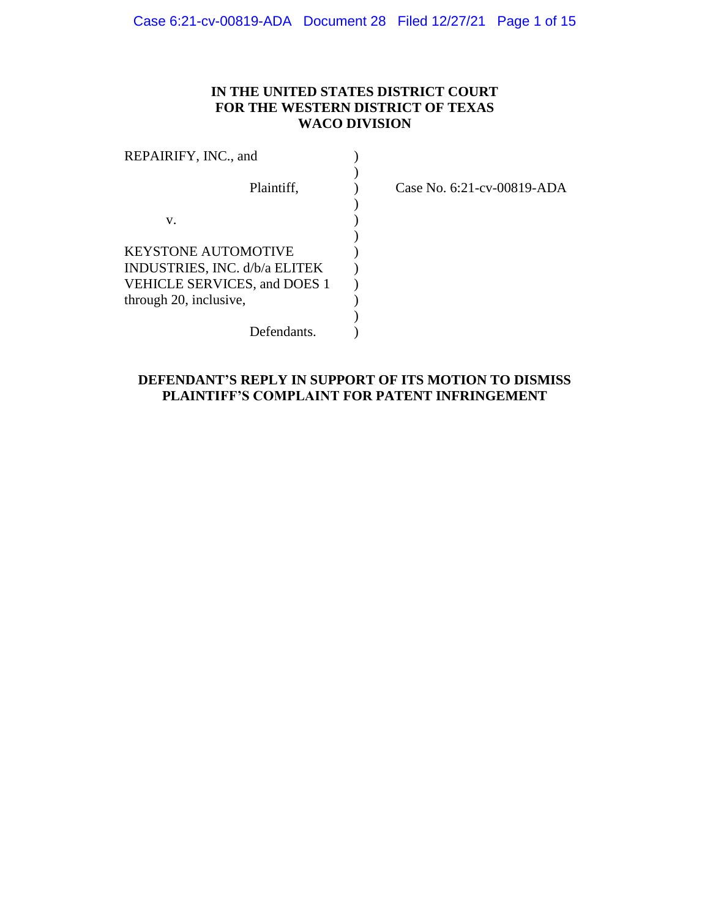# **IN THE UNITED STATES DISTRICT COURT FOR THE WESTERN DISTRICT OF TEXAS WACO DIVISION**

| REPAIRIFY, INC., and                |  |
|-------------------------------------|--|
|                                     |  |
| Plaintiff,                          |  |
|                                     |  |
| V.                                  |  |
|                                     |  |
| KEYSTONE AUTOMOTIVE                 |  |
| INDUSTRIES, INC. d/b/a ELITEK       |  |
| <b>VEHICLE SERVICES, and DOES 1</b> |  |
| through 20, inclusive,              |  |
|                                     |  |
| Defendants.                         |  |

Case No. 6:21-cv-00819-ADA

# **DEFENDANT'S REPLY IN SUPPORT OF ITS MOTION TO DISMISS PLAINTIFF'S COMPLAINT FOR PATENT INFRINGEMENT**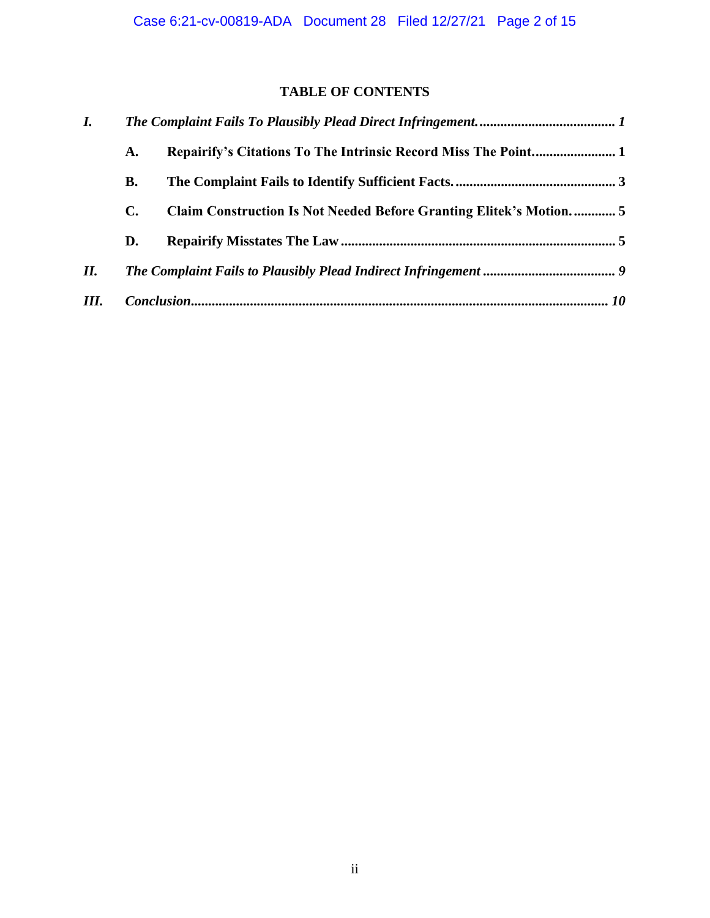# **TABLE OF CONTENTS**

| $\bm{I}$ . |    |                                                                    |  |
|------------|----|--------------------------------------------------------------------|--|
|            | A. |                                                                    |  |
|            | В. |                                                                    |  |
|            | C. | Claim Construction Is Not Needed Before Granting Elitek's Motion 5 |  |
|            | D. |                                                                    |  |
| II.        |    |                                                                    |  |
| Ш.         |    |                                                                    |  |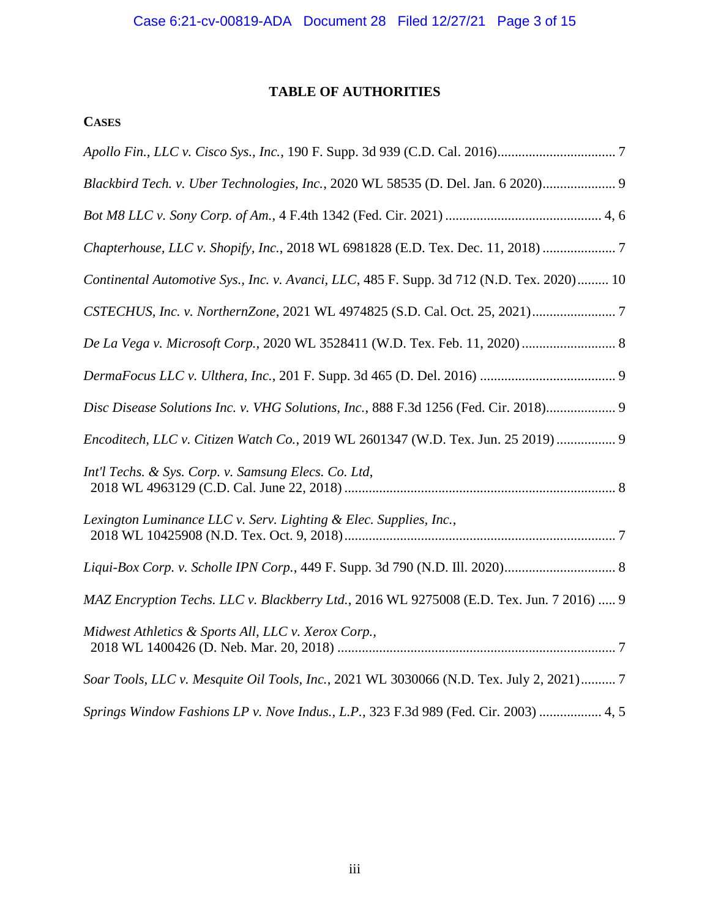# **TABLE OF AUTHORITIES**

# **CASES**

| Blackbird Tech. v. Uber Technologies, Inc., 2020 WL 58535 (D. Del. Jan. 6 2020) 9         |
|-------------------------------------------------------------------------------------------|
|                                                                                           |
| Chapterhouse, LLC v. Shopify, Inc., 2018 WL 6981828 (E.D. Tex. Dec. 11, 2018)  7          |
| Continental Automotive Sys., Inc. v. Avanci, LLC, 485 F. Supp. 3d 712 (N.D. Tex. 2020) 10 |
|                                                                                           |
| De La Vega v. Microsoft Corp., 2020 WL 3528411 (W.D. Tex. Feb. 11, 2020)  8               |
|                                                                                           |
| Disc Disease Solutions Inc. v. VHG Solutions, Inc., 888 F.3d 1256 (Fed. Cir. 2018) 9      |
| Encoditech, LLC v. Citizen Watch Co., 2019 WL 2601347 (W.D. Tex. Jun. 25 2019)  9         |
| Int'l Techs. & Sys. Corp. v. Samsung Elecs. Co. Ltd,                                      |
| Lexington Luminance LLC v. Serv. Lighting & Elec. Supplies, Inc.,                         |
|                                                                                           |
| MAZ Encryption Techs. LLC v. Blackberry Ltd., 2016 WL 9275008 (E.D. Tex. Jun. 7 2016)  9  |
| Midwest Athletics & Sports All, LLC v. Xerox Corp.,                                       |
| Soar Tools, LLC v. Mesquite Oil Tools, Inc., 2021 WL 3030066 (N.D. Tex. July 2, 2021) 7   |
| Springs Window Fashions LP v. Nove Indus., L.P., 323 F.3d 989 (Fed. Cir. 2003)  4, 5      |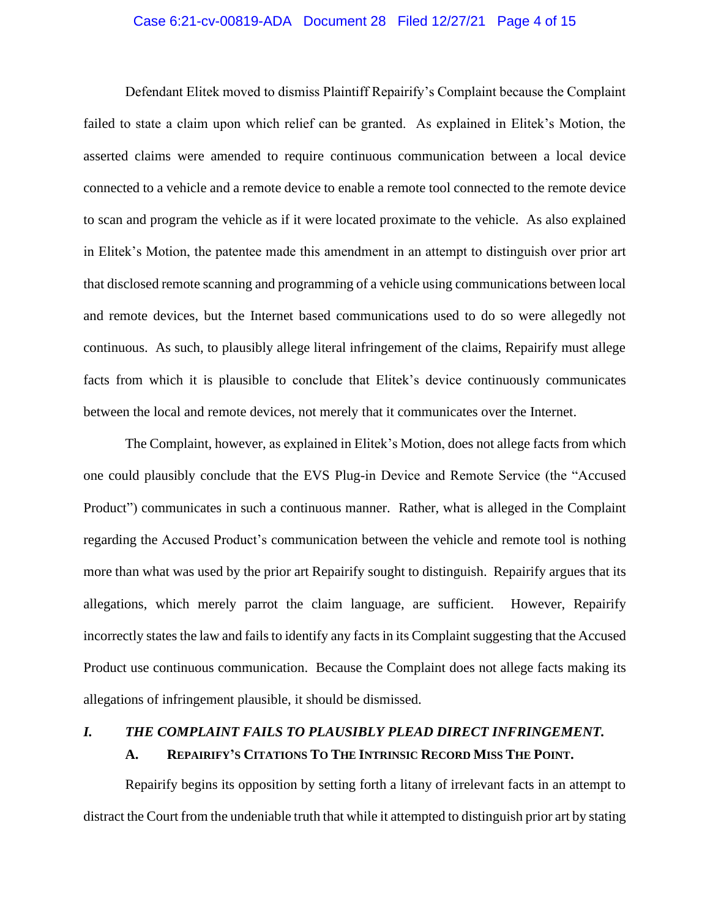# Case 6:21-cv-00819-ADA Document 28 Filed 12/27/21 Page 4 of 15

Defendant Elitek moved to dismiss Plaintiff Repairify's Complaint because the Complaint failed to state a claim upon which relief can be granted. As explained in Elitek's Motion, the asserted claims were amended to require continuous communication between a local device connected to a vehicle and a remote device to enable a remote tool connected to the remote device to scan and program the vehicle as if it were located proximate to the vehicle. As also explained in Elitek's Motion, the patentee made this amendment in an attempt to distinguish over prior art that disclosed remote scanning and programming of a vehicle using communications between local and remote devices, but the Internet based communications used to do so were allegedly not continuous. As such, to plausibly allege literal infringement of the claims, Repairify must allege facts from which it is plausible to conclude that Elitek's device continuously communicates between the local and remote devices, not merely that it communicates over the Internet.

The Complaint, however, as explained in Elitek's Motion, does not allege facts from which one could plausibly conclude that the EVS Plug-in Device and Remote Service (the "Accused Product") communicates in such a continuous manner. Rather, what is alleged in the Complaint regarding the Accused Product's communication between the vehicle and remote tool is nothing more than what was used by the prior art Repairify sought to distinguish. Repairify argues that its allegations, which merely parrot the claim language, are sufficient. However, Repairify incorrectly states the law and fails to identify any facts in its Complaint suggesting that the Accused Product use continuous communication. Because the Complaint does not allege facts making its allegations of infringement plausible, it should be dismissed.

# *I. THE COMPLAINT FAILS TO PLAUSIBLY PLEAD DIRECT INFRINGEMENT.*  **A. REPAIRIFY'S CITATIONS TO THE INTRINSIC RECORD MISS THE POINT.**

Repairify begins its opposition by setting forth a litany of irrelevant facts in an attempt to distract the Court from the undeniable truth that while it attempted to distinguish prior art by stating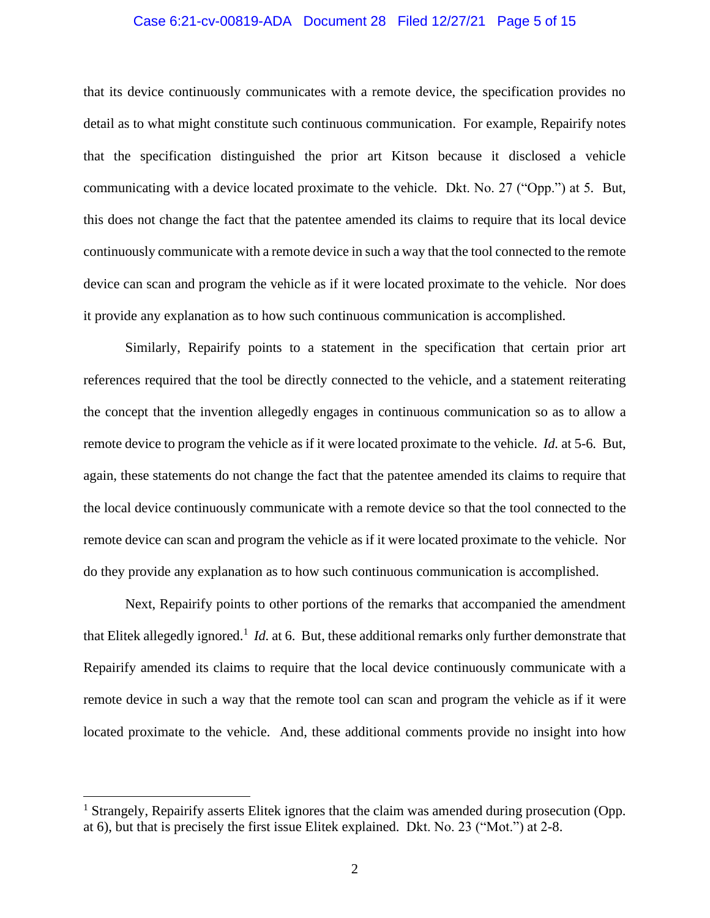# Case 6:21-cv-00819-ADA Document 28 Filed 12/27/21 Page 5 of 15

that its device continuously communicates with a remote device, the specification provides no detail as to what might constitute such continuous communication. For example, Repairify notes that the specification distinguished the prior art Kitson because it disclosed a vehicle communicating with a device located proximate to the vehicle. Dkt. No. 27 ("Opp.") at 5*.* But, this does not change the fact that the patentee amended its claims to require that its local device continuously communicate with a remote device in such a way that the tool connected to the remote device can scan and program the vehicle as if it were located proximate to the vehicle. Nor does it provide any explanation as to how such continuous communication is accomplished.

Similarly, Repairify points to a statement in the specification that certain prior art references required that the tool be directly connected to the vehicle, and a statement reiterating the concept that the invention allegedly engages in continuous communication so as to allow a remote device to program the vehicle as if it were located proximate to the vehicle. *Id.* at 5-6*.* But, again, these statements do not change the fact that the patentee amended its claims to require that the local device continuously communicate with a remote device so that the tool connected to the remote device can scan and program the vehicle as if it were located proximate to the vehicle. Nor do they provide any explanation as to how such continuous communication is accomplished.

Next, Repairify points to other portions of the remarks that accompanied the amendment that Elitek allegedly ignored.<sup>1</sup> *Id.* at 6. But, these additional remarks only further demonstrate that Repairify amended its claims to require that the local device continuously communicate with a remote device in such a way that the remote tool can scan and program the vehicle as if it were located proximate to the vehicle. And, these additional comments provide no insight into how

<sup>&</sup>lt;sup>1</sup> Strangely, Repairify asserts Elitek ignores that the claim was amended during prosecution (Opp. at 6), but that is precisely the first issue Elitek explained. Dkt. No. 23 ("Mot.") at 2-8.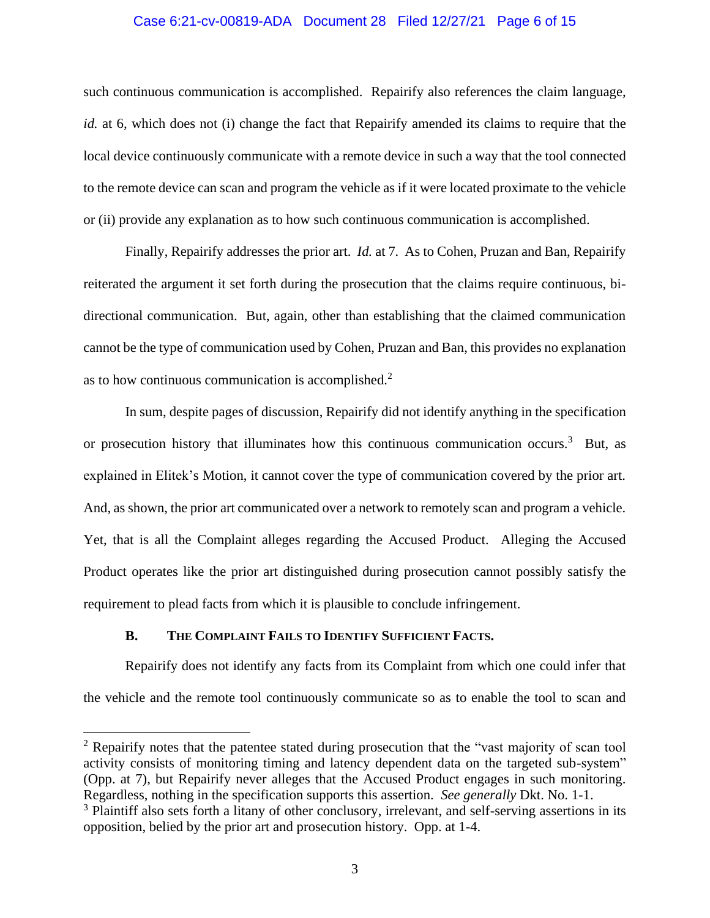# Case 6:21-cv-00819-ADA Document 28 Filed 12/27/21 Page 6 of 15

such continuous communication is accomplished. Repairify also references the claim language, *id.* at 6, which does not (i) change the fact that Repairify amended its claims to require that the local device continuously communicate with a remote device in such a way that the tool connected to the remote device can scan and program the vehicle as if it were located proximate to the vehicle or (ii) provide any explanation as to how such continuous communication is accomplished.

Finally, Repairify addresses the prior art. *Id.* at 7*.* As to Cohen, Pruzan and Ban, Repairify reiterated the argument it set forth during the prosecution that the claims require continuous, bidirectional communication. But, again, other than establishing that the claimed communication cannot be the type of communication used by Cohen, Pruzan and Ban, this provides no explanation as to how continuous communication is accomplished. $2$ 

In sum, despite pages of discussion, Repairify did not identify anything in the specification or prosecution history that illuminates how this continuous communication occurs.<sup>3</sup> But, as explained in Elitek's Motion, it cannot cover the type of communication covered by the prior art. And, as shown, the prior art communicated over a network to remotely scan and program a vehicle. Yet, that is all the Complaint alleges regarding the Accused Product. Alleging the Accused Product operates like the prior art distinguished during prosecution cannot possibly satisfy the requirement to plead facts from which it is plausible to conclude infringement.

# **B. THE COMPLAINT FAILS TO IDENTIFY SUFFICIENT FACTS.**

Repairify does not identify any facts from its Complaint from which one could infer that the vehicle and the remote tool continuously communicate so as to enable the tool to scan and

<sup>&</sup>lt;sup>2</sup> Repairify notes that the patentee stated during prosecution that the "vast majority of scan tool" activity consists of monitoring timing and latency dependent data on the targeted sub-system" (Opp. at 7), but Repairify never alleges that the Accused Product engages in such monitoring. Regardless, nothing in the specification supports this assertion. *See generally* Dkt. No. 1-1.

<sup>&</sup>lt;sup>3</sup> Plaintiff also sets forth a litany of other conclusory, irrelevant, and self-serving assertions in its opposition, belied by the prior art and prosecution history. Opp. at 1-4.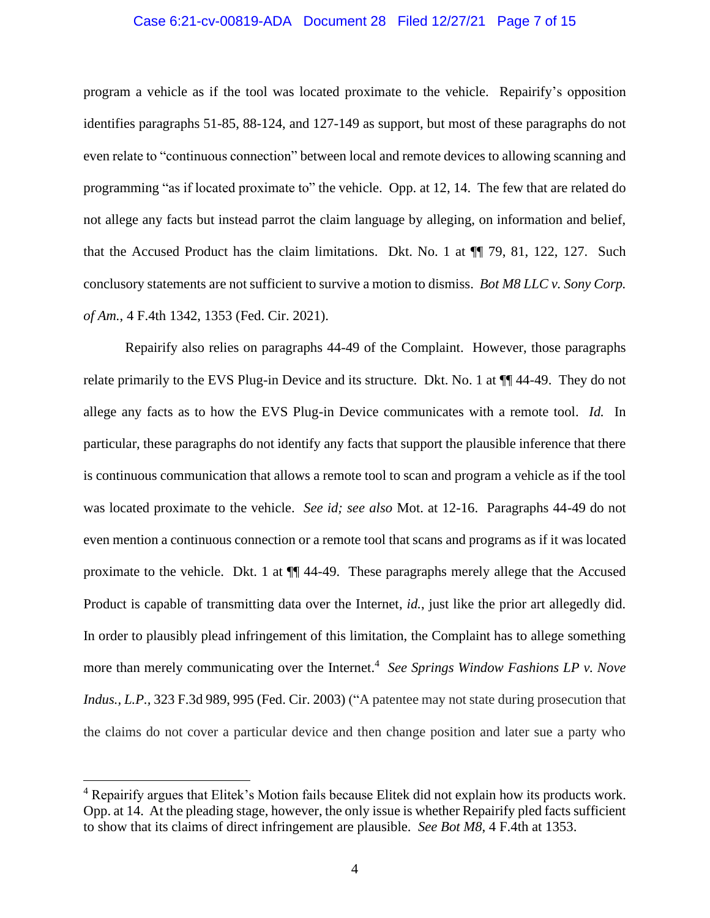# Case 6:21-cv-00819-ADA Document 28 Filed 12/27/21 Page 7 of 15

program a vehicle as if the tool was located proximate to the vehicle. Repairify's opposition identifies paragraphs 51-85, 88-124, and 127-149 as support, but most of these paragraphs do not even relate to "continuous connection" between local and remote devices to allowing scanning and programming "as if located proximate to" the vehicle. Opp. at 12, 14. The few that are related do not allege any facts but instead parrot the claim language by alleging, on information and belief, that the Accused Product has the claim limitations. Dkt. No. 1 at ¶¶ 79, 81, 122, 127. Such conclusory statements are not sufficient to survive a motion to dismiss. *Bot M8 LLC v. Sony Corp. of Am.*, 4 F.4th 1342, 1353 (Fed. Cir. 2021).

Repairify also relies on paragraphs 44-49 of the Complaint. However, those paragraphs relate primarily to the EVS Plug-in Device and its structure. Dkt. No. 1 at ¶¶ 44-49. They do not allege any facts as to how the EVS Plug-in Device communicates with a remote tool. *Id.* In particular, these paragraphs do not identify any facts that support the plausible inference that there is continuous communication that allows a remote tool to scan and program a vehicle as if the tool was located proximate to the vehicle. *See id; see also* Mot. at 12-16. Paragraphs 44-49 do not even mention a continuous connection or a remote tool that scans and programs as if it was located proximate to the vehicle. Dkt. 1 at ¶¶ 44-49. These paragraphs merely allege that the Accused Product is capable of transmitting data over the Internet, *id.*, just like the prior art allegedly did. In order to plausibly plead infringement of this limitation, the Complaint has to allege something more than merely communicating over the Internet.<sup>4</sup> See Springs Window Fashions LP v. Nove *Indus., L.P., 323 F.3d 989, 995 (Fed. Cir. 2003) ("A patentee may not state during prosecution that* the claims do not cover a particular device and then change position and later sue a party who

<sup>4</sup> Repairify argues that Elitek's Motion fails because Elitek did not explain how its products work. Opp. at 14. At the pleading stage, however, the only issue is whether Repairify pled facts sufficient to show that its claims of direct infringement are plausible. *See Bot M8*, 4 F.4th at 1353.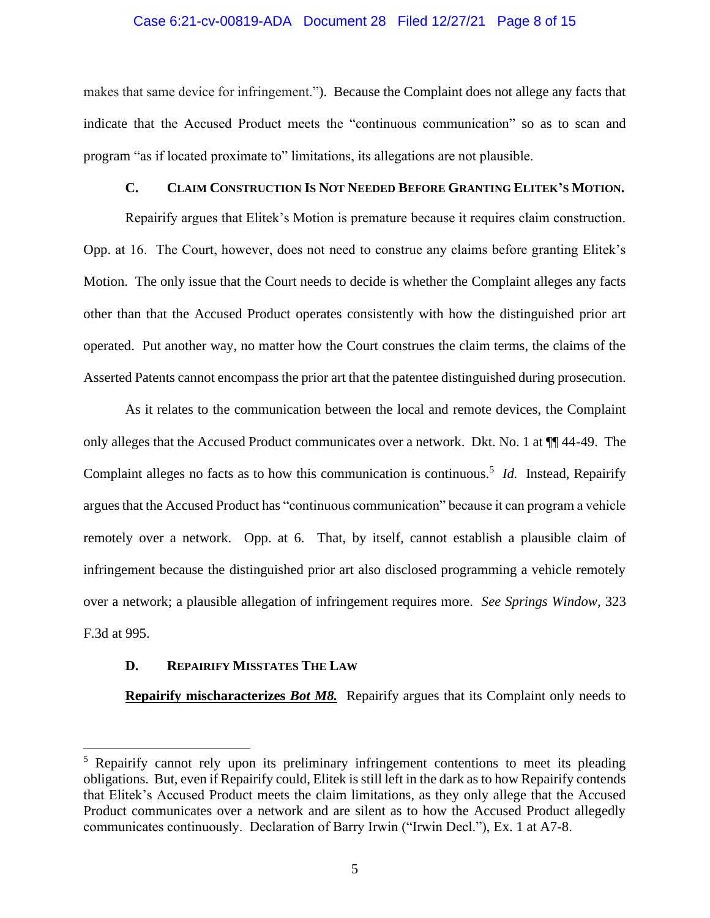#### Case 6:21-cv-00819-ADA Document 28 Filed 12/27/21 Page 8 of 15

makes that same device for infringement."). Because the Complaint does not allege any facts that indicate that the Accused Product meets the "continuous communication" so as to scan and program "as if located proximate to" limitations, its allegations are not plausible.

# **C. CLAIM CONSTRUCTION IS NOT NEEDED BEFORE GRANTING ELITEK'S MOTION.**

Repairify argues that Elitek's Motion is premature because it requires claim construction. Opp. at 16. The Court, however, does not need to construe any claims before granting Elitek's Motion. The only issue that the Court needs to decide is whether the Complaint alleges any facts other than that the Accused Product operates consistently with how the distinguished prior art operated. Put another way, no matter how the Court construes the claim terms, the claims of the Asserted Patents cannot encompass the prior art that the patentee distinguished during prosecution.

As it relates to the communication between the local and remote devices, the Complaint only alleges that the Accused Product communicates over a network. Dkt. No. 1 at ¶¶ 44-49. The Complaint alleges no facts as to how this communication is continuous.<sup>5</sup> *Id.* Instead, Repairify argues that the Accused Product has "continuous communication" because it can program a vehicle remotely over a network. Opp. at 6. That, by itself, cannot establish a plausible claim of infringement because the distinguished prior art also disclosed programming a vehicle remotely over a network; a plausible allegation of infringement requires more. *See Springs Window,* 323 F.3d at 995.

# **D. REPAIRIFY MISSTATES THE LAW**

**Repairify mischaracterizes** *Bot M8.* Repairify argues that its Complaint only needs to

<sup>&</sup>lt;sup>5</sup> Repairify cannot rely upon its preliminary infringement contentions to meet its pleading obligations. But, even if Repairify could, Elitek is still left in the dark as to how Repairify contends that Elitek's Accused Product meets the claim limitations, as they only allege that the Accused Product communicates over a network and are silent as to how the Accused Product allegedly communicates continuously. Declaration of Barry Irwin ("Irwin Decl."), Ex. 1 at A7-8.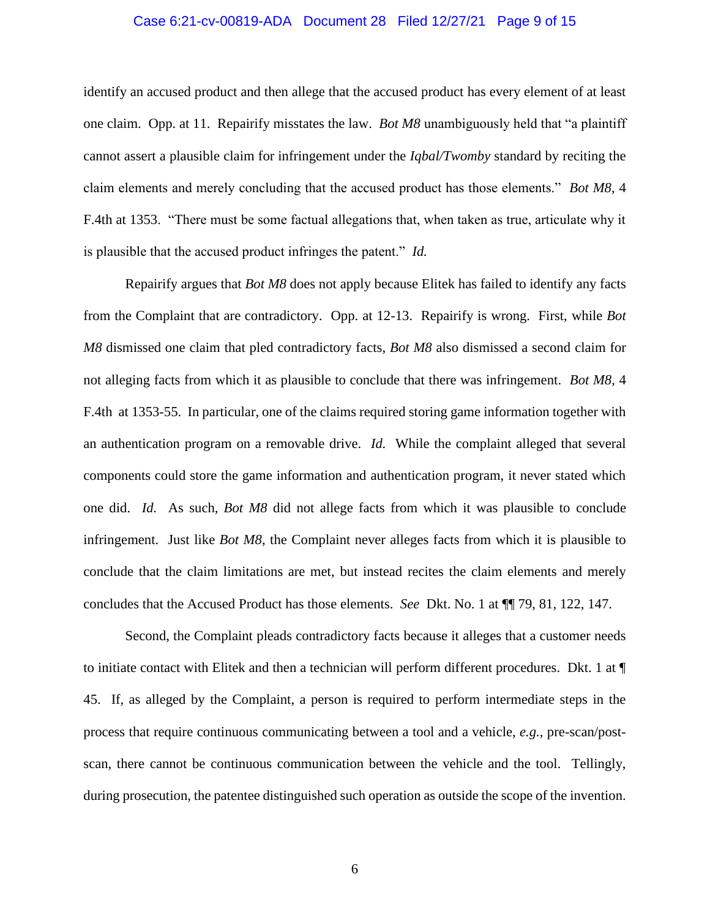## Case 6:21-cv-00819-ADA Document 28 Filed 12/27/21 Page 9 of 15

identify an accused product and then allege that the accused product has every element of at least one claim. Opp. at 11. Repairify misstates the law. *Bot M8* unambiguously held that "a plaintiff cannot assert a plausible claim for infringement under the *Iqbal/Twomby* standard by reciting the claim elements and merely concluding that the accused product has those elements." *Bot M8*, 4 F.4th at 1353. "There must be some factual allegations that, when taken as true, articulate why it is plausible that the accused product infringes the patent." *Id.* 

Repairify argues that *Bot M8* does not apply because Elitek has failed to identify any facts from the Complaint that are contradictory. Opp. at 12-13. Repairify is wrong. First, while *Bot M8* dismissed one claim that pled contradictory facts, *Bot M8* also dismissed a second claim for not alleging facts from which it as plausible to conclude that there was infringement. *Bot M8*, 4 F.4th at 1353-55. In particular, one of the claims required storing game information together with an authentication program on a removable drive. *Id.* While the complaint alleged that several components could store the game information and authentication program, it never stated which one did. *Id.* As such, *Bot M8* did not allege facts from which it was plausible to conclude infringement. Just like *Bot M8*, the Complaint never alleges facts from which it is plausible to conclude that the claim limitations are met, but instead recites the claim elements and merely concludes that the Accused Product has those elements. *See* Dkt. No. 1 at ¶¶ 79, 81, 122, 147.

Second, the Complaint pleads contradictory facts because it alleges that a customer needs to initiate contact with Elitek and then a technician will perform different procedures. Dkt. 1 at ¶ 45. If, as alleged by the Complaint, a person is required to perform intermediate steps in the process that require continuous communicating between a tool and a vehicle, *e.g.,* pre-scan/postscan, there cannot be continuous communication between the vehicle and the tool. Tellingly, during prosecution, the patentee distinguished such operation as outside the scope of the invention.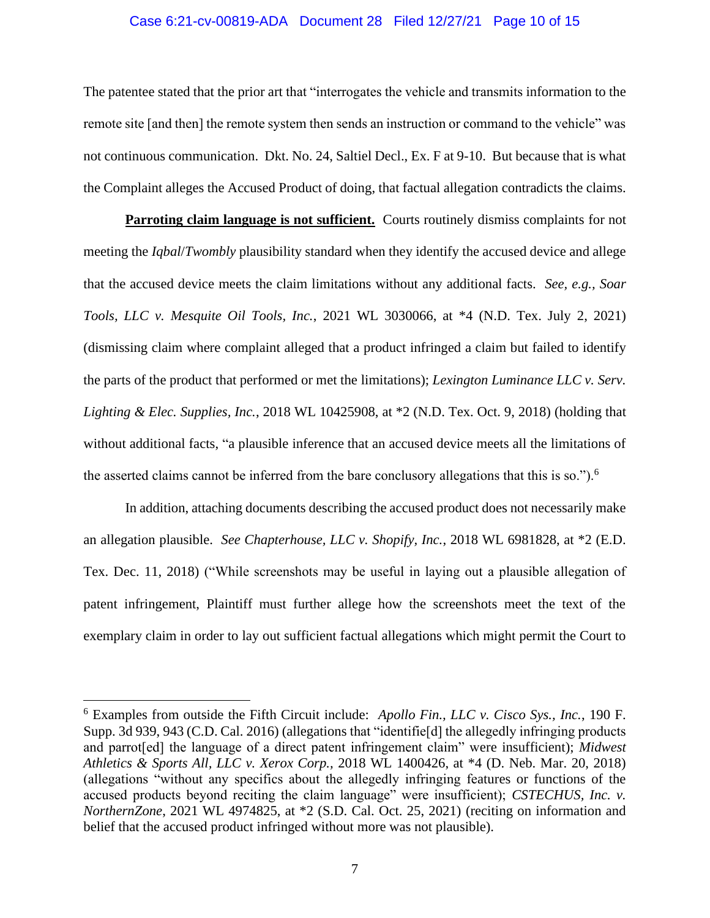# Case 6:21-cv-00819-ADA Document 28 Filed 12/27/21 Page 10 of 15

The patentee stated that the prior art that "interrogates the vehicle and transmits information to the remote site [and then] the remote system then sends an instruction or command to the vehicle" was not continuous communication. Dkt. No. 24, Saltiel Decl., Ex. F at 9-10. But because that is what the Complaint alleges the Accused Product of doing, that factual allegation contradicts the claims.

**Parroting claim language is not sufficient.** Courts routinely dismiss complaints for not meeting the *Iqbal*/*Twombly* plausibility standard when they identify the accused device and allege that the accused device meets the claim limitations without any additional facts. *See, e.g., Soar Tools, LLC v. Mesquite Oil Tools, Inc.*, 2021 WL 3030066, at \*4 (N.D. Tex. July 2, 2021) (dismissing claim where complaint alleged that a product infringed a claim but failed to identify the parts of the product that performed or met the limitations); *Lexington Luminance LLC v. Serv. Lighting & Elec. Supplies, Inc.*, 2018 WL 10425908, at \*2 (N.D. Tex. Oct. 9, 2018) (holding that without additional facts, "a plausible inference that an accused device meets all the limitations of the asserted claims cannot be inferred from the bare conclusory allegations that this is so.").<sup>6</sup>

In addition, attaching documents describing the accused product does not necessarily make an allegation plausible. *See Chapterhouse, LLC v. Shopify, Inc.*, 2018 WL 6981828, at \*2 (E.D. Tex. Dec. 11, 2018) ("While screenshots may be useful in laying out a plausible allegation of patent infringement, Plaintiff must further allege how the screenshots meet the text of the exemplary claim in order to lay out sufficient factual allegations which might permit the Court to

<sup>6</sup> Examples from outside the Fifth Circuit include: *Apollo Fin., LLC v. Cisco Sys., Inc.*, 190 F. Supp. 3d 939, 943 (C.D. Cal. 2016) (allegations that "identifie[d] the allegedly infringing products and parrot[ed] the language of a direct patent infringement claim" were insufficient); *Midwest Athletics & Sports All, LLC v. Xerox Corp.,* 2018 WL 1400426, at \*4 (D. Neb. Mar. 20, 2018) (allegations "without any specifics about the allegedly infringing features or functions of the accused products beyond reciting the claim language" were insufficient); *CSTECHUS, Inc. v. NorthernZone*, 2021 WL 4974825, at \*2 (S.D. Cal. Oct. 25, 2021) (reciting on information and belief that the accused product infringed without more was not plausible).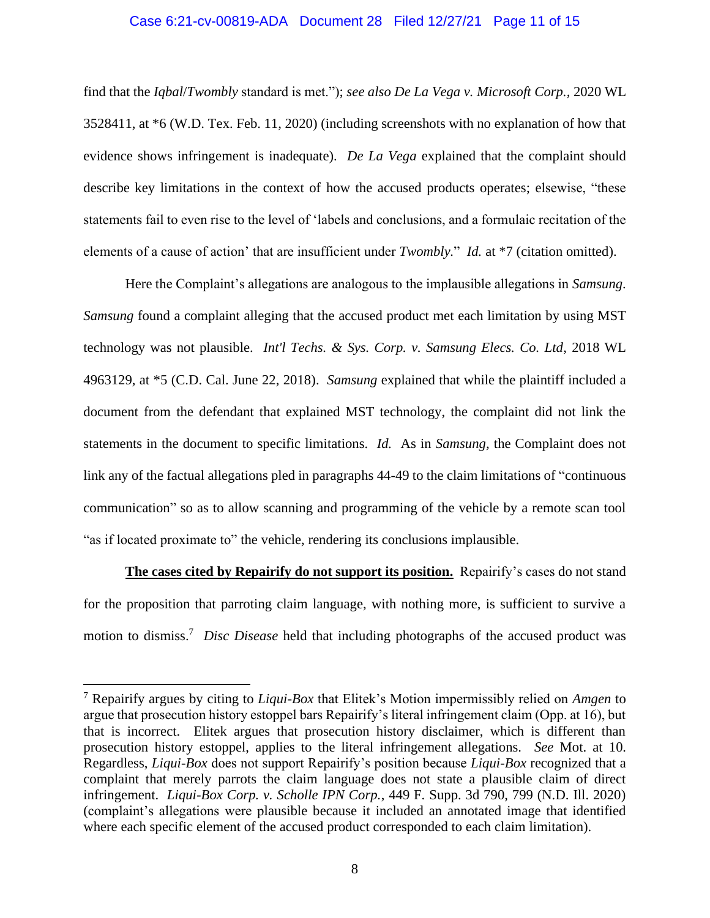# Case 6:21-cv-00819-ADA Document 28 Filed 12/27/21 Page 11 of 15

find that the *Iqbal*/*Twombly* standard is met."); *see also De La Vega v. Microsoft Corp.,* 2020 WL 3528411, at \*6 (W.D. Tex. Feb. 11, 2020) (including screenshots with no explanation of how that evidence shows infringement is inadequate). *De La Vega* explained that the complaint should describe key limitations in the context of how the accused products operates; elsewise, "these statements fail to even rise to the level of 'labels and conclusions, and a formulaic recitation of the elements of a cause of action' that are insufficient under *Twombly.*" *Id.* at \*7 (citation omitted).

Here the Complaint's allegations are analogous to the implausible allegations in *Samsung*. *Samsung* found a complaint alleging that the accused product met each limitation by using MST technology was not plausible. *Int'l Techs. & Sys. Corp. v. Samsung Elecs. Co. Ltd*, 2018 WL 4963129, at \*5 (C.D. Cal. June 22, 2018). *Samsung* explained that while the plaintiff included a document from the defendant that explained MST technology, the complaint did not link the statements in the document to specific limitations. *Id.* As in *Samsung,* the Complaint does not link any of the factual allegations pled in paragraphs 44-49 to the claim limitations of "continuous communication" so as to allow scanning and programming of the vehicle by a remote scan tool "as if located proximate to" the vehicle, rendering its conclusions implausible.

**The cases cited by Repairify do not support its position.** Repairify's cases do not stand for the proposition that parroting claim language, with nothing more, is sufficient to survive a motion to dismiss.<sup>7</sup> *Disc Disease* held that including photographs of the accused product was

<sup>7</sup> Repairify argues by citing to *Liqui-Box* that Elitek's Motion impermissibly relied on *Amgen* to argue that prosecution history estoppel bars Repairify's literal infringement claim (Opp. at 16), but that is incorrect. Elitek argues that prosecution history disclaimer, which is different than prosecution history estoppel, applies to the literal infringement allegations. *See* Mot. at 10. Regardless, *Liqui-Box* does not support Repairify's position because *Liqui-Box* recognized that a complaint that merely parrots the claim language does not state a plausible claim of direct infringement. *Liqui-Box Corp. v. Scholle IPN Corp.*, 449 F. Supp. 3d 790, 799 (N.D. Ill. 2020) (complaint's allegations were plausible because it included an annotated image that identified where each specific element of the accused product corresponded to each claim limitation).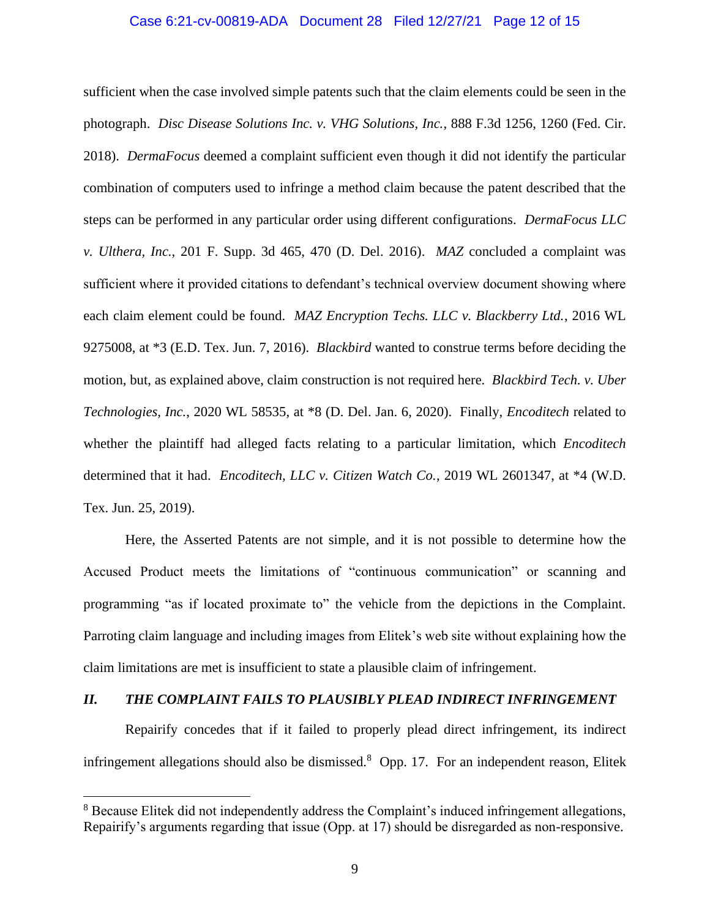# Case 6:21-cv-00819-ADA Document 28 Filed 12/27/21 Page 12 of 15

sufficient when the case involved simple patents such that the claim elements could be seen in the photograph. *Disc Disease Solutions Inc. v. VHG Solutions, Inc.*, 888 F.3d 1256, 1260 (Fed. Cir. 2018). *DermaFocus* deemed a complaint sufficient even though it did not identify the particular combination of computers used to infringe a method claim because the patent described that the steps can be performed in any particular order using different configurations. *DermaFocus LLC v. Ulthera, Inc.*, 201 F. Supp. 3d 465, 470 (D. Del. 2016). *MAZ* concluded a complaint was sufficient where it provided citations to defendant's technical overview document showing where each claim element could be found. *MAZ Encryption Techs. LLC v. Blackberry Ltd.*, 2016 WL 9275008, at \*3 (E.D. Tex. Jun. 7, 2016). *Blackbird* wanted to construe terms before deciding the motion, but, as explained above, claim construction is not required here. *Blackbird Tech. v. Uber Technologies, Inc.*, 2020 WL 58535, at \*8 (D. Del. Jan. 6, 2020). Finally, *Encoditech* related to whether the plaintiff had alleged facts relating to a particular limitation, which *Encoditech*  determined that it had. *Encoditech, LLC v. Citizen Watch Co.*, 2019 WL 2601347, at \*4 (W.D. Tex. Jun. 25, 2019).

Here, the Asserted Patents are not simple, and it is not possible to determine how the Accused Product meets the limitations of "continuous communication" or scanning and programming "as if located proximate to" the vehicle from the depictions in the Complaint. Parroting claim language and including images from Elitek's web site without explaining how the claim limitations are met is insufficient to state a plausible claim of infringement.

# *II. THE COMPLAINT FAILS TO PLAUSIBLY PLEAD INDIRECT INFRINGEMENT*

Repairify concedes that if it failed to properly plead direct infringement, its indirect infringement allegations should also be dismissed.<sup>8</sup> Opp. 17. For an independent reason, Elitek

<sup>&</sup>lt;sup>8</sup> Because Elitek did not independently address the Complaint's induced infringement allegations, Repairify's arguments regarding that issue (Opp. at 17) should be disregarded as non-responsive.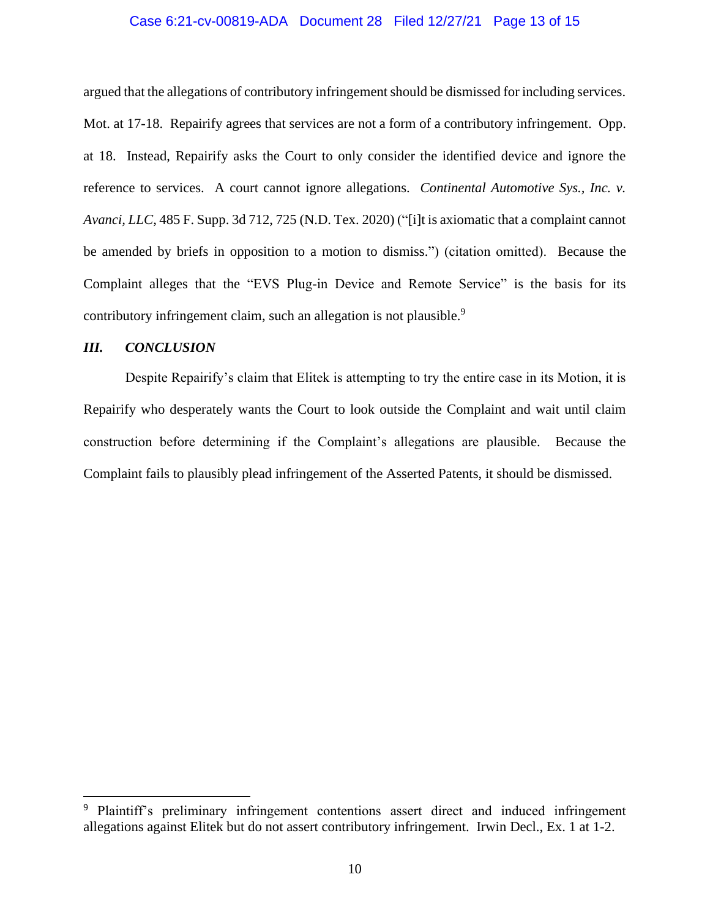# Case 6:21-cv-00819-ADA Document 28 Filed 12/27/21 Page 13 of 15

argued that the allegations of contributory infringement should be dismissed for including services. Mot. at 17-18. Repairify agrees that services are not a form of a contributory infringement. Opp. at 18. Instead, Repairify asks the Court to only consider the identified device and ignore the reference to services. A court cannot ignore allegations. *Continental Automotive Sys., Inc. v. Avanci, LLC*, 485 F. Supp. 3d 712, 725 (N.D. Tex. 2020) ("[i]t is axiomatic that a complaint cannot be amended by briefs in opposition to a motion to dismiss.") (citation omitted). Because the Complaint alleges that the "EVS Plug-in Device and Remote Service" is the basis for its contributory infringement claim, such an allegation is not plausible.<sup>9</sup>

## *III. CONCLUSION*

Despite Repairify's claim that Elitek is attempting to try the entire case in its Motion, it is Repairify who desperately wants the Court to look outside the Complaint and wait until claim construction before determining if the Complaint's allegations are plausible. Because the Complaint fails to plausibly plead infringement of the Asserted Patents, it should be dismissed.

<sup>&</sup>lt;sup>9</sup> Plaintiff's preliminary infringement contentions assert direct and induced infringement allegations against Elitek but do not assert contributory infringement. Irwin Decl., Ex. 1 at 1-2.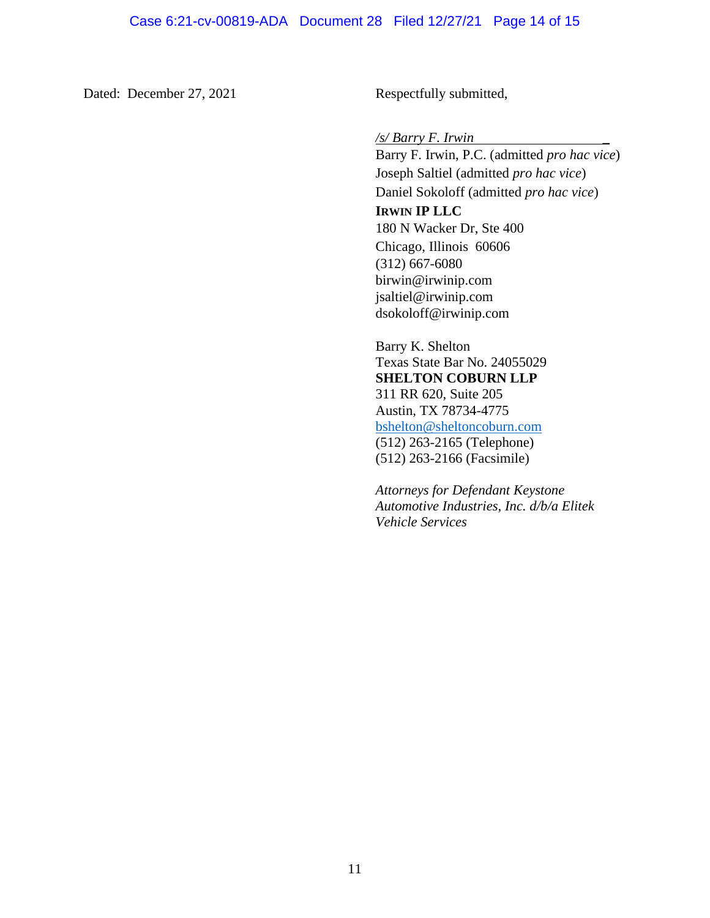Dated: December 27, 2021 Respectfully submitted,

*/s/ Barry F. Irwin \_*

Barry F. Irwin, P.C. (admitted *pro hac vice*) Joseph Saltiel (admitted *pro hac vice*) Daniel Sokoloff (admitted *pro hac vice*) **IRWIN IP LLC**  180 N Wacker Dr, Ste 400 Chicago, Illinois 60606 (312) 667-6080 birwin@irwinip.com jsaltiel@irwinip.com dsokoloff@irwinip.com

Barry K. Shelton Texas State Bar No. 24055029 **SHELTON COBURN LLP** 311 RR 620, Suite 205 Austin, TX 78734-4775 bshelton@sheltoncoburn.com (512) 263-2165 (Telephone) (512) 263-2166 (Facsimile)

*Attorneys for Defendant Keystone Automotive Industries, Inc. d/b/a Elitek Vehicle Services*